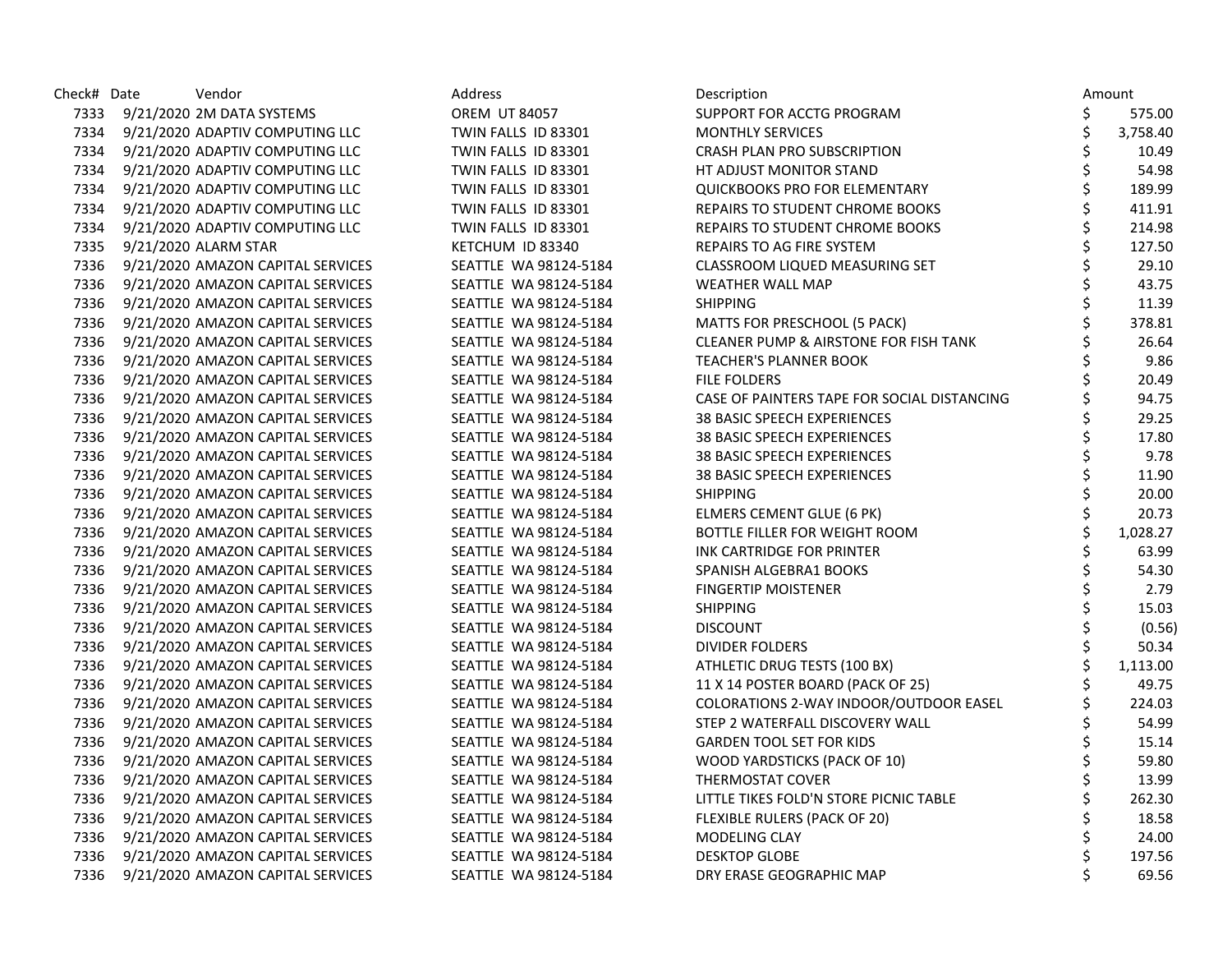| Check# Date | Vendor                                 | Address               | Description                                 | Amount         |
|-------------|----------------------------------------|-----------------------|---------------------------------------------|----------------|
| 7333        | 9/21/2020 2M DATA SYSTEMS              | <b>OREM UT 84057</b>  | SUPPORT FOR ACCTG PROGRAM                   | \$<br>575.00   |
| 7334        | 9/21/2020 ADAPTIV COMPUTING LLC        | TWIN FALLS ID 83301   | <b>MONTHLY SERVICES</b>                     | \$<br>3,758.40 |
| 7334        | 9/21/2020 ADAPTIV COMPUTING LLC        | TWIN FALLS ID 83301   | CRASH PLAN PRO SUBSCRIPTION                 | \$<br>10.49    |
| 7334        | 9/21/2020 ADAPTIV COMPUTING LLC        | TWIN FALLS ID 83301   | HT ADJUST MONITOR STAND                     | \$<br>54.98    |
| 7334        | 9/21/2020 ADAPTIV COMPUTING LLC        | TWIN FALLS ID 83301   | <b>QUICKBOOKS PRO FOR ELEMENTARY</b>        | \$<br>189.99   |
| 7334        | 9/21/2020 ADAPTIV COMPUTING LLC        | TWIN FALLS ID 83301   | REPAIRS TO STUDENT CHROME BOOKS             | \$<br>411.91   |
| 7334        | 9/21/2020 ADAPTIV COMPUTING LLC        | TWIN FALLS ID 83301   | REPAIRS TO STUDENT CHROME BOOKS             | \$<br>214.98   |
| 7335        | 9/21/2020 ALARM STAR                   | KETCHUM ID 83340      | REPAIRS TO AG FIRE SYSTEM                   | \$<br>127.50   |
|             | 7336 9/21/2020 AMAZON CAPITAL SERVICES | SEATTLE WA 98124-5184 | <b>CLASSROOM LIQUED MEASURING SET</b>       | \$<br>29.10    |
| 7336        | 9/21/2020 AMAZON CAPITAL SERVICES      | SEATTLE WA 98124-5184 | <b>WEATHER WALL MAP</b>                     | \$<br>43.75    |
| 7336        | 9/21/2020 AMAZON CAPITAL SERVICES      | SEATTLE WA 98124-5184 | <b>SHIPPING</b>                             | \$<br>11.39    |
| 7336        | 9/21/2020 AMAZON CAPITAL SERVICES      | SEATTLE WA 98124-5184 | MATTS FOR PRESCHOOL (5 PACK)                | \$<br>378.81   |
| 7336        | 9/21/2020 AMAZON CAPITAL SERVICES      | SEATTLE WA 98124-5184 | CLEANER PUMP & AIRSTONE FOR FISH TANK       | \$<br>26.64    |
| 7336        | 9/21/2020 AMAZON CAPITAL SERVICES      | SEATTLE WA 98124-5184 | <b>TEACHER'S PLANNER BOOK</b>               | \$<br>9.86     |
| 7336        | 9/21/2020 AMAZON CAPITAL SERVICES      | SEATTLE WA 98124-5184 | <b>FILE FOLDERS</b>                         | \$<br>20.49    |
| 7336        | 9/21/2020 AMAZON CAPITAL SERVICES      | SEATTLE WA 98124-5184 | CASE OF PAINTERS TAPE FOR SOCIAL DISTANCING | \$<br>94.75    |
| 7336        | 9/21/2020 AMAZON CAPITAL SERVICES      | SEATTLE WA 98124-5184 | 38 BASIC SPEECH EXPERIENCES                 | \$<br>29.25    |
| 7336        | 9/21/2020 AMAZON CAPITAL SERVICES      | SEATTLE WA 98124-5184 | <b>38 BASIC SPEECH EXPERIENCES</b>          | \$<br>17.80    |
| 7336        | 9/21/2020 AMAZON CAPITAL SERVICES      | SEATTLE WA 98124-5184 | 38 BASIC SPEECH EXPERIENCES                 | \$<br>9.78     |
| 7336        | 9/21/2020 AMAZON CAPITAL SERVICES      | SEATTLE WA 98124-5184 | <b>38 BASIC SPEECH EXPERIENCES</b>          | \$<br>11.90    |
| 7336        | 9/21/2020 AMAZON CAPITAL SERVICES      | SEATTLE WA 98124-5184 | <b>SHIPPING</b>                             | \$<br>20.00    |
| 7336        | 9/21/2020 AMAZON CAPITAL SERVICES      | SEATTLE WA 98124-5184 | ELMERS CEMENT GLUE (6 PK)                   | \$<br>20.73    |
| 7336        | 9/21/2020 AMAZON CAPITAL SERVICES      | SEATTLE WA 98124-5184 | <b>BOTTLE FILLER FOR WEIGHT ROOM</b>        | \$<br>1,028.27 |
| 7336        | 9/21/2020 AMAZON CAPITAL SERVICES      | SEATTLE WA 98124-5184 | INK CARTRIDGE FOR PRINTER                   | \$<br>63.99    |
| 7336        | 9/21/2020 AMAZON CAPITAL SERVICES      | SEATTLE WA 98124-5184 | SPANISH ALGEBRA1 BOOKS                      | \$<br>54.30    |
| 7336        | 9/21/2020 AMAZON CAPITAL SERVICES      | SEATTLE WA 98124-5184 | <b>FINGERTIP MOISTENER</b>                  | \$<br>2.79     |
|             | 7336 9/21/2020 AMAZON CAPITAL SERVICES | SEATTLE WA 98124-5184 | <b>SHIPPING</b>                             | \$<br>15.03    |
| 7336        | 9/21/2020 AMAZON CAPITAL SERVICES      | SEATTLE WA 98124-5184 | <b>DISCOUNT</b>                             | \$<br>(0.56)   |
| 7336        | 9/21/2020 AMAZON CAPITAL SERVICES      | SEATTLE WA 98124-5184 | <b>DIVIDER FOLDERS</b>                      | \$<br>50.34    |
| 7336        | 9/21/2020 AMAZON CAPITAL SERVICES      | SEATTLE WA 98124-5184 | ATHLETIC DRUG TESTS (100 BX)                | \$<br>1,113.00 |
| 7336        | 9/21/2020 AMAZON CAPITAL SERVICES      | SEATTLE WA 98124-5184 | 11 X 14 POSTER BOARD (PACK OF 25)           | \$<br>49.75    |
| 7336        | 9/21/2020 AMAZON CAPITAL SERVICES      | SEATTLE WA 98124-5184 | COLORATIONS 2-WAY INDOOR/OUTDOOR EASEL      | \$<br>224.03   |
| 7336        | 9/21/2020 AMAZON CAPITAL SERVICES      | SEATTLE WA 98124-5184 | STEP 2 WATERFALL DISCOVERY WALL             | \$<br>54.99    |
| 7336        | 9/21/2020 AMAZON CAPITAL SERVICES      | SEATTLE WA 98124-5184 | <b>GARDEN TOOL SET FOR KIDS</b>             | \$<br>15.14    |
| 7336        | 9/21/2020 AMAZON CAPITAL SERVICES      | SEATTLE WA 98124-5184 | WOOD YARDSTICKS (PACK OF 10)                | \$<br>59.80    |
| 7336        | 9/21/2020 AMAZON CAPITAL SERVICES      | SEATTLE WA 98124-5184 | THERMOSTAT COVER                            | \$<br>13.99    |
| 7336        | 9/21/2020 AMAZON CAPITAL SERVICES      | SEATTLE WA 98124-5184 | LITTLE TIKES FOLD'N STORE PICNIC TABLE      | \$<br>262.30   |
| 7336        | 9/21/2020 AMAZON CAPITAL SERVICES      | SEATTLE WA 98124-5184 | FLEXIBLE RULERS (PACK OF 20)                | \$<br>18.58    |
| 7336        | 9/21/2020 AMAZON CAPITAL SERVICES      | SEATTLE WA 98124-5184 | MODELING CLAY                               | \$<br>24.00    |
| 7336        | 9/21/2020 AMAZON CAPITAL SERVICES      | SEATTLE WA 98124-5184 | <b>DESKTOP GLOBE</b>                        | \$<br>197.56   |
| 7336        | 9/21/2020 AMAZON CAPITAL SERVICES      | SEATTLE WA 98124-5184 | DRY ERASE GEOGRAPHIC MAP                    | \$<br>69.56    |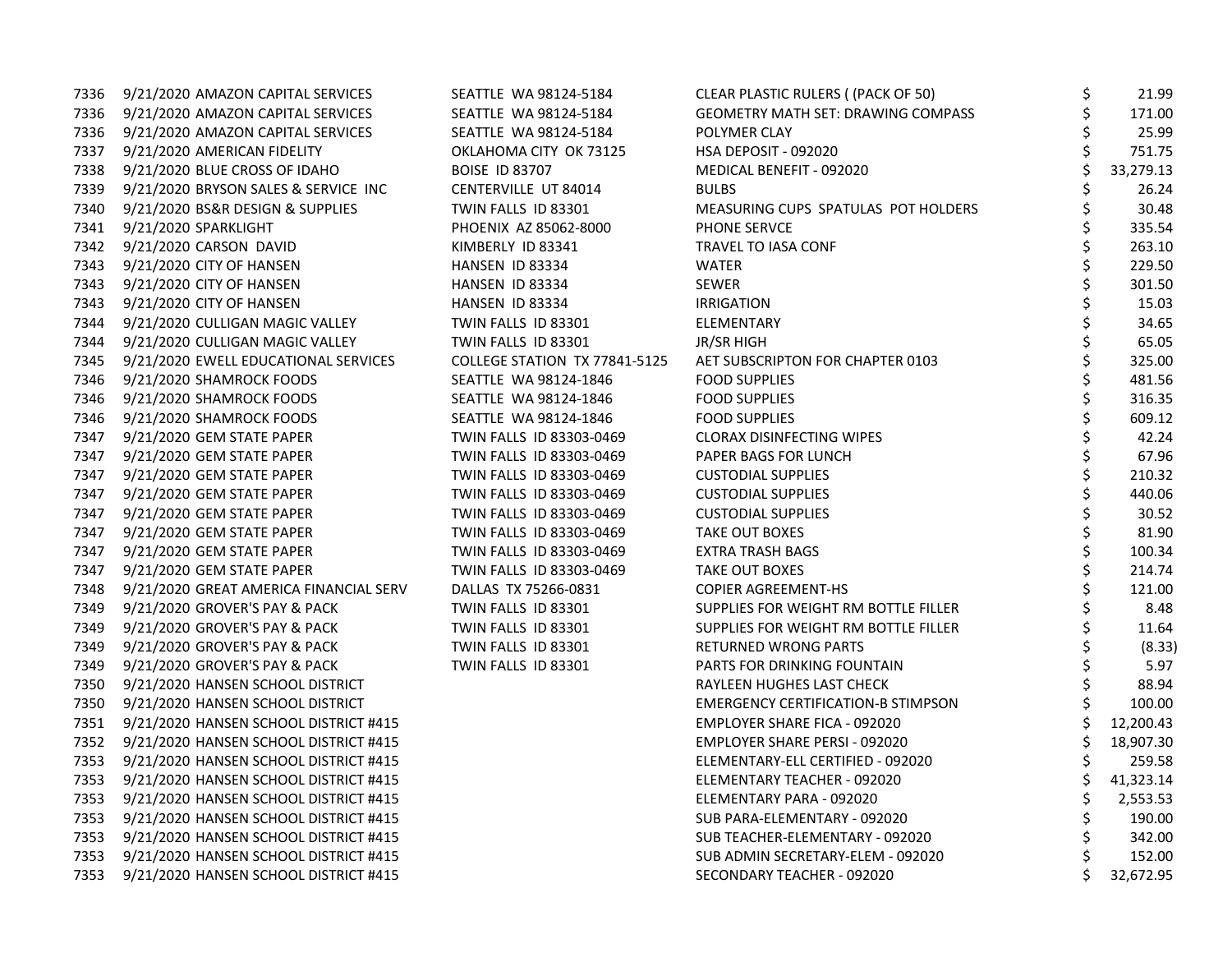| 7336 | 9/21/2020 AMAZON CAPITAL SERVICES          | SEATTLE WA 98124-5184         | CLEAR PLASTIC RULERS ((PACK OF 50)        | \$<br>21.99     |
|------|--------------------------------------------|-------------------------------|-------------------------------------------|-----------------|
|      | 7336 9/21/2020 AMAZON CAPITAL SERVICES     | SEATTLE WA 98124-5184         | GEOMETRY MATH SET: DRAWING COMPASS        | \$<br>171.00    |
|      | 7336 9/21/2020 AMAZON CAPITAL SERVICES     | SEATTLE WA 98124-5184         | POLYMER CLAY                              | \$<br>25.99     |
| 7337 | 9/21/2020 AMERICAN FIDELITY                | OKLAHOMA CITY OK 73125        | HSA DEPOSIT - 092020                      | \$<br>751.75    |
| 7338 | 9/21/2020 BLUE CROSS OF IDAHO              | <b>BOISE ID 83707</b>         | MEDICAL BENEFIT - 092020                  | 33,279.13       |
| 7339 | 9/21/2020 BRYSON SALES & SERVICE INC       | CENTERVILLE UT 84014          | <b>BULBS</b>                              | \$<br>26.24     |
| 7340 | 9/21/2020 BS&R DESIGN & SUPPLIES           | TWIN FALLS ID 83301           | MEASURING CUPS SPATULAS POT HOLDERS       | \$<br>30.48     |
| 7341 | 9/21/2020 SPARKLIGHT                       | PHOENIX AZ 85062-8000         | PHONE SERVCE                              | \$<br>335.54    |
|      | 7342 9/21/2020 CARSON DAVID                | KIMBERLY ID 83341             | TRAVEL TO IASA CONF                       | \$<br>263.10    |
| 7343 | 9/21/2020 CITY OF HANSEN                   | HANSEN ID 83334               | WATER                                     | \$<br>229.50    |
| 7343 | 9/21/2020 CITY OF HANSEN                   | HANSEN ID 83334               | <b>SEWER</b>                              | \$<br>301.50    |
| 7343 | 9/21/2020 CITY OF HANSEN                   | HANSEN ID 83334               | <b>IRRIGATION</b>                         | \$<br>15.03     |
| 7344 | 9/21/2020 CULLIGAN MAGIC VALLEY            | TWIN FALLS ID 83301           | ELEMENTARY                                | \$<br>34.65     |
| 7344 | 9/21/2020 CULLIGAN MAGIC VALLEY            | TWIN FALLS ID 83301           | JR/SR HIGH                                | 65.05           |
| 7345 | 9/21/2020 EWELL EDUCATIONAL SERVICES       | COLLEGE STATION TX 77841-5125 | AET SUBSCRIPTON FOR CHAPTER 0103          | \$<br>325.00    |
| 7346 | 9/21/2020 SHAMROCK FOODS                   | SEATTLE WA 98124-1846         | <b>FOOD SUPPLIES</b>                      | \$<br>481.56    |
| 7346 | 9/21/2020 SHAMROCK FOODS                   | SEATTLE WA 98124-1846         | <b>FOOD SUPPLIES</b>                      | \$<br>316.35    |
| 7346 | 9/21/2020 SHAMROCK FOODS                   | SEATTLE WA 98124-1846         | <b>FOOD SUPPLIES</b>                      | \$<br>609.12    |
|      | 7347 9/21/2020 GEM STATE PAPER             | TWIN FALLS ID 83303-0469      | <b>CLORAX DISINFECTING WIPES</b>          | 42.24           |
| 7347 | 9/21/2020 GEM STATE PAPER                  | TWIN FALLS ID 83303-0469      | PAPER BAGS FOR LUNCH                      | \$<br>67.96     |
| 7347 | 9/21/2020 GEM STATE PAPER                  | TWIN FALLS ID 83303-0469      | <b>CUSTODIAL SUPPLIES</b>                 | \$<br>210.32    |
| 7347 | 9/21/2020 GEM STATE PAPER                  | TWIN FALLS ID 83303-0469      | <b>CUSTODIAL SUPPLIES</b>                 | \$<br>440.06    |
| 7347 | 9/21/2020 GEM STATE PAPER                  | TWIN FALLS ID 83303-0469      | <b>CUSTODIAL SUPPLIES</b>                 | \$<br>30.52     |
| 7347 | 9/21/2020 GEM STATE PAPER                  | TWIN FALLS ID 83303-0469      | TAKE OUT BOXES                            | \$<br>81.90     |
| 7347 | 9/21/2020 GEM STATE PAPER                  | TWIN FALLS ID 83303-0469      | EXTRA TRASH BAGS                          | \$<br>100.34    |
| 7347 | 9/21/2020 GEM STATE PAPER                  | TWIN FALLS ID 83303-0469      | <b>TAKE OUT BOXES</b>                     | \$<br>214.74    |
| 7348 | 9/21/2020 GREAT AMERICA FINANCIAL SERV     | DALLAS TX 75266-0831          | <b>COPIER AGREEMENT-HS</b>                | \$<br>121.00    |
| 7349 | 9/21/2020 GROVER'S PAY & PACK              | TWIN FALLS ID 83301           | SUPPLIES FOR WEIGHT RM BOTTLE FILLER      | 8.48            |
| 7349 | 9/21/2020 GROVER'S PAY & PACK              | TWIN FALLS ID 83301           | SUPPLIES FOR WEIGHT RM BOTTLE FILLER      | \$<br>11.64     |
| 7349 | 9/21/2020 GROVER'S PAY & PACK              | TWIN FALLS ID 83301           | RETURNED WRONG PARTS                      | (8.33)          |
| 7349 | 9/21/2020 GROVER'S PAY & PACK              | TWIN FALLS ID 83301           | PARTS FOR DRINKING FOUNTAIN               | \$<br>5.97      |
| 7350 | 9/21/2020 HANSEN SCHOOL DISTRICT           |                               | RAYLEEN HUGHES LAST CHECK                 | \$<br>88.94     |
| 7350 | 9/21/2020 HANSEN SCHOOL DISTRICT           |                               | <b>EMERGENCY CERTIFICATION-B STIMPSON</b> | 100.00          |
| 7351 | 9/21/2020 HANSEN SCHOOL DISTRICT #415      |                               | EMPLOYER SHARE FICA - 092020              | \$<br>12,200.43 |
| 7352 | 9/21/2020 HANSEN SCHOOL DISTRICT #415      |                               | EMPLOYER SHARE PERSI - 092020             | \$<br>18,907.30 |
| 7353 | 9/21/2020 HANSEN SCHOOL DISTRICT #415      |                               | ELEMENTARY-ELL CERTIFIED - 092020         | \$<br>259.58    |
| 7353 | 9/21/2020 HANSEN SCHOOL DISTRICT #415      |                               | ELEMENTARY TEACHER - 092020               | \$<br>41,323.14 |
| 7353 | 9/21/2020 HANSEN SCHOOL DISTRICT #415      |                               | ELEMENTARY PARA - 092020                  | \$<br>2,553.53  |
| 7353 | 9/21/2020 HANSEN SCHOOL DISTRICT #415      |                               | SUB PARA-ELEMENTARY - 092020              | \$<br>190.00    |
| 7353 | 9/21/2020 HANSEN SCHOOL DISTRICT #415      |                               | SUB TEACHER-ELEMENTARY - 092020           | \$<br>342.00    |
|      | 7353 9/21/2020 HANSEN SCHOOL DISTRICT #415 |                               | SUB ADMIN SECRETARY-ELEM - 092020         | \$<br>152.00    |
|      | 7353 9/21/2020 HANSEN SCHOOL DISTRICT #415 |                               | SECONDARY TEACHER - 092020                | 32,672.95       |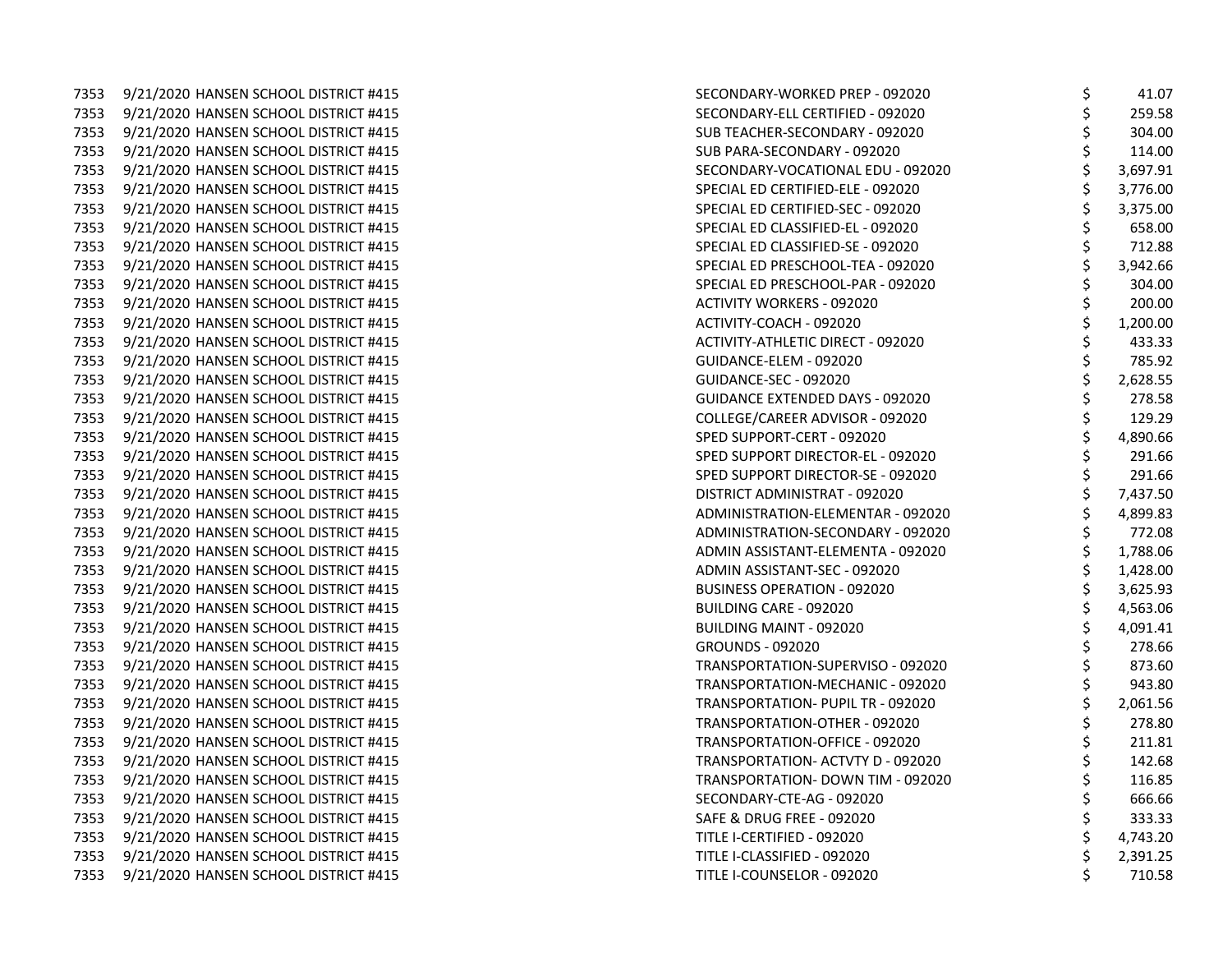7353 9/21/2020 HANSEN SCHOOL DISTRICT #415 7353 9/21/2020 HANSEN SCHOOL DISTRICT #415 7353 9/21/2020 HANSEN SCHOOL DISTRICT #415 7353 9/21/2020 HANSEN SCHOOL DISTRICT #415 7353 9/21/2020 HANSEN SCHOOL DISTRICT #415 7353 9/21/2020 HANSEN SCHOOL DISTRICT #415 7353 9/21/2020 HANSEN SCHOOL DISTRICT #415 7353 9/21/2020 HANSEN SCHOOL DISTRICT #415 7353 9/21/2020 HANSEN SCHOOL DISTRICT #415 7353 9/21/2020 HANSEN SCHOOL DISTRICT #415 7353 9/21/2020 HANSEN SCHOOL DISTRICT #415 7353 9/21/2020 HANSEN SCHOOL DISTRICT #415 7353 9/21/2020 HANSEN SCHOOL DISTRICT #415 7353 9/21/2020 HANSEN SCHOOL DISTRICT #415 7353 9/21/2020 HANSEN SCHOOL DISTRICT #415 7353 9/21/2020 HANSEN SCHOOL DISTRICT #415 7353 9/21/2020 HANSEN SCHOOL DISTRICT #415 7353 9/21/2020 HANSEN SCHOOL DISTRICT #415 COLLEGE ADVISOR - 0921/2020 ADVISOR - 09 7353 9/21/2020 HANSEN SCHOOL DISTRICT #415 7353 9/21/2020 HANSEN SCHOOL DISTRICT #415 7353 9/21/2020 HANSEN SCHOOL DISTRICT #415 7353 9/21/2020 HANSEN SCHOOL DISTRICT #415 7353 9/21/2020 HANSEN SCHOOL DISTRICT #415 7353 9/21/2020 HANSEN SCHOOL DISTRICT #415 7353 9/21/2020 HANSEN SCHOOL DISTRICT #415 7353 9/21/2020 HANSEN SCHOOL DISTRICT #415 7353 9/21/2020 HANSEN SCHOOL DISTRICT #415 7353 9/21/2020 HANSEN SCHOOL DISTRICT #415 7353 9/21/2020 HANSEN SCHOOL DISTRICT #415 7353 9/21/2020 HANSEN SCHOOL DISTRICT #415 7353 9/21/2020 HANSEN SCHOOL DISTRICT #415 7353 9/21/2020 HANSEN SCHOOL DISTRICT #415 7353 9/21/2020 HANSEN SCHOOL DISTRICT #415 7353 9/21/2020 HANSEN SCHOOL DISTRICT #415 7353 9/21/2020 HANSEN SCHOOL DISTRICT #415 7353 9/21/2020 HANSEN SCHOOL DISTRICT #415 7353 9/21/2020 HANSEN SCHOOL DISTRICT #415 7353 9/21/2020 HANSEN SCHOOL DISTRICT #415 7353 9/21/2020 HANSEN SCHOOL DISTRICT #415 7353 9/21/2020 HANSEN SCHOOL DISTRICT #415 7353 9/21/2020 HANSEN SCHOOL DISTRICT #415 7353 9/21/2020 HANSEN SCHOOL DISTRICT #415

| SECONDARY-WORKED PREP - 092020     | \$<br>41.07    |
|------------------------------------|----------------|
| SECONDARY-ELL CERTIFIED - 092020   | \$<br>259.58   |
| SUB TEACHER-SECONDARY - 092020     | \$<br>304.00   |
| SUB PARA-SECONDARY - 092020        | \$<br>114.00   |
| SECONDARY-VOCATIONAL EDU - 092020  | \$<br>3,697.91 |
| SPECIAL ED CERTIFIED-ELE - 092020  | \$<br>3,776.00 |
| SPECIAL ED CERTIFIED-SEC - 092020  | \$<br>3,375.00 |
| SPECIAL ED CLASSIFIED-EL - 092020  | \$<br>658.00   |
| SPECIAL ED CLASSIFIED-SE - 092020  | \$<br>712.88   |
| SPECIAL ED PRESCHOOL-TEA - 092020  | \$<br>3,942.66 |
| SPECIAL ED PRESCHOOL-PAR - 092020  | \$<br>304.00   |
| ACTIVITY WORKERS - 092020          | \$<br>200.00   |
| ACTIVITY-COACH - 092020            | \$<br>1,200.00 |
| ACTIVITY-ATHLETIC DIRECT - 092020  | \$<br>433.33   |
| GUIDANCE-ELEM - 092020             | \$<br>785.92   |
| GUIDANCE-SEC - 092020              | \$<br>2,628.55 |
| GUIDANCE EXTENDED DAYS - 092020    | \$<br>278.58   |
| COLLEGE/CAREER ADVISOR - 092020    | \$<br>129.29   |
| SPED SUPPORT-CERT - 092020         | \$<br>4,890.66 |
| SPED SUPPORT DIRECTOR-EL - 092020  | \$<br>291.66   |
| SPED SUPPORT DIRECTOR-SE - 092020  | \$<br>291.66   |
| DISTRICT ADMINISTRAT - 092020      | \$<br>7,437.50 |
| ADMINISTRATION-ELEMENTAR - 092020  | \$<br>4,899.83 |
| ADMINISTRATION-SECONDARY - 092020  | \$<br>772.08   |
| ADMIN ASSISTANT-ELEMENTA - 092020  | \$<br>1,788.06 |
| ADMIN ASSISTANT-SEC - 092020       | \$<br>1,428.00 |
| <b>BUSINESS OPERATION - 092020</b> | \$<br>3,625.93 |
| BUILDING CARE - 092020             | \$<br>4,563.06 |
| BUILDING MAINT - 092020            | \$<br>4,091.41 |
| GROUNDS - 092020                   | \$<br>278.66   |
| TRANSPORTATION-SUPERVISO - 092020  | \$<br>873.60   |
| TRANSPORTATION-MECHANIC - 092020   | \$<br>943.80   |
| TRANSPORTATION- PUPIL TR - 092020  | \$<br>2,061.56 |
| TRANSPORTATION-OTHER - 092020      | \$<br>278.80   |
| TRANSPORTATION-OFFICE - 092020     | \$<br>211.81   |
| TRANSPORTATION- ACTVTY D - 092020  | \$<br>142.68   |
| TRANSPORTATION- DOWN TIM - 092020  | \$<br>116.85   |
| SECONDARY-CTE-AG - 092020          | \$<br>666.66   |
| SAFE & DRUG FREE - 092020          | \$<br>333.33   |
| TITLE I-CERTIFIED - 092020         | \$<br>4,743.20 |
| TITLE I-CLASSIFIED - 092020        | \$<br>2,391.25 |
| TITLE I-COUNSELOR - 092020         | \$<br>710.58   |
|                                    |                |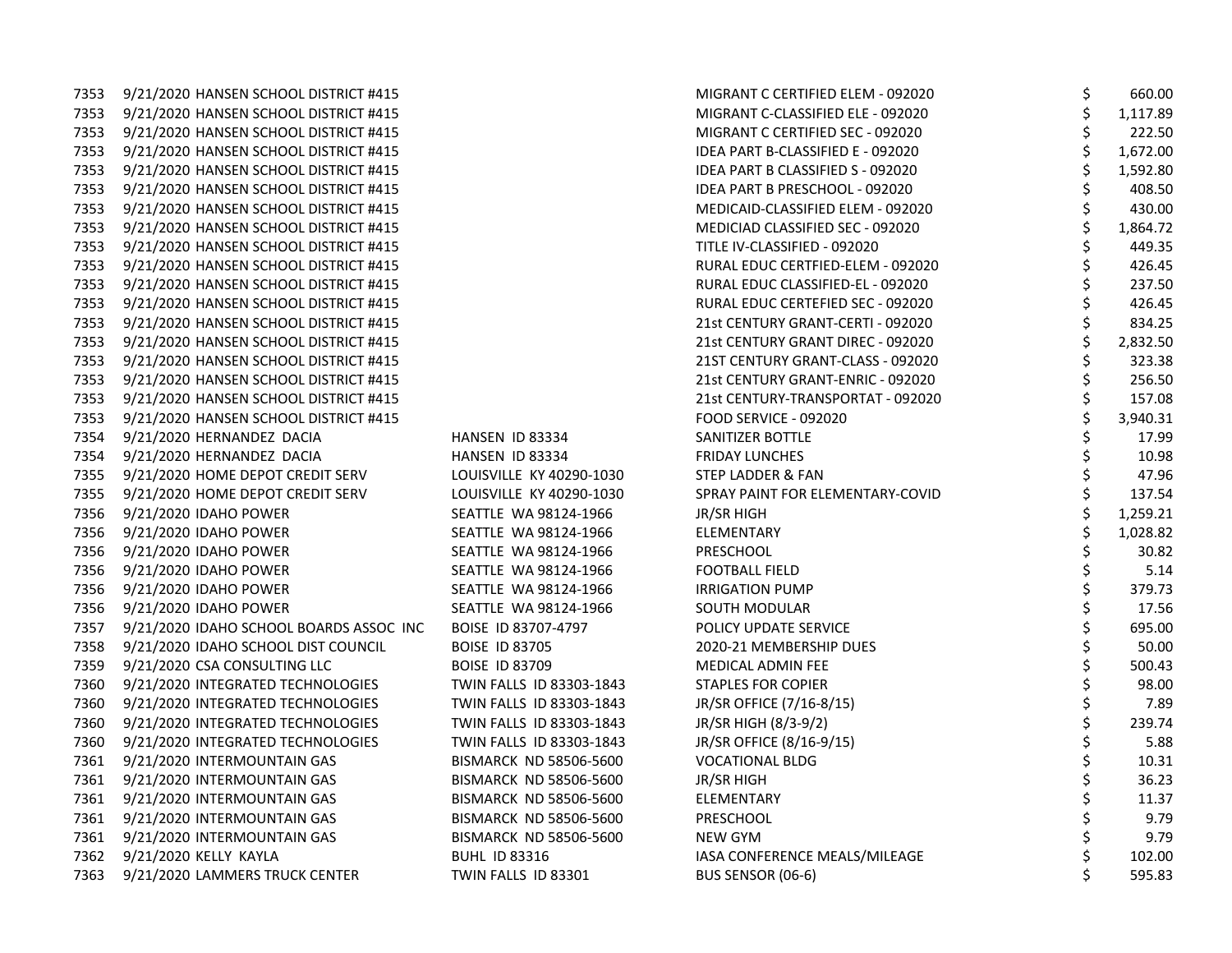| 7353 | 9/21/2020 HANSEN SCHOOL DISTRICT #415   |                               | MIGRANT C CERTIFIED ELEM - 092020 | \$ | 660.00   |
|------|-----------------------------------------|-------------------------------|-----------------------------------|----|----------|
| 7353 | 9/21/2020 HANSEN SCHOOL DISTRICT #415   |                               | MIGRANT C-CLASSIFIED ELE - 092020 |    | 1,117.89 |
| 7353 | 9/21/2020 HANSEN SCHOOL DISTRICT #415   |                               | MIGRANT C CERTIFIED SEC - 092020  |    | 222.50   |
| 7353 | 9/21/2020 HANSEN SCHOOL DISTRICT #415   |                               | IDEA PART B-CLASSIFIED E - 092020 | \$ | 1,672.00 |
| 7353 | 9/21/2020 HANSEN SCHOOL DISTRICT #415   |                               | IDEA PART B CLASSIFIED S - 092020 |    | 1,592.80 |
| 7353 | 9/21/2020 HANSEN SCHOOL DISTRICT #415   |                               | IDEA PART B PRESCHOOL - 092020    |    | 408.50   |
| 7353 | 9/21/2020 HANSEN SCHOOL DISTRICT #415   |                               | MEDICAID-CLASSIFIED ELEM - 092020 |    | 430.00   |
| 7353 | 9/21/2020 HANSEN SCHOOL DISTRICT #415   |                               | MEDICIAD CLASSIFIED SEC - 092020  |    | 1,864.72 |
| 7353 | 9/21/2020 HANSEN SCHOOL DISTRICT #415   |                               | TITLE IV-CLASSIFIED - 092020      |    | 449.35   |
| 7353 | 9/21/2020 HANSEN SCHOOL DISTRICT #415   |                               | RURAL EDUC CERTFIED-ELEM - 092020 |    | 426.45   |
| 7353 | 9/21/2020 HANSEN SCHOOL DISTRICT #415   |                               | RURAL EDUC CLASSIFIED-EL - 092020 |    | 237.50   |
| 7353 | 9/21/2020 HANSEN SCHOOL DISTRICT #415   |                               | RURAL EDUC CERTEFIED SEC - 092020 |    | 426.45   |
| 7353 | 9/21/2020 HANSEN SCHOOL DISTRICT #415   |                               | 21st CENTURY GRANT-CERTI - 092020 | \$ | 834.25   |
| 7353 | 9/21/2020 HANSEN SCHOOL DISTRICT #415   |                               | 21st CENTURY GRANT DIREC - 092020 |    | 2,832.50 |
| 7353 | 9/21/2020 HANSEN SCHOOL DISTRICT #415   |                               | 21ST CENTURY GRANT-CLASS - 092020 |    | 323.38   |
| 7353 | 9/21/2020 HANSEN SCHOOL DISTRICT #415   |                               | 21st CENTURY GRANT-ENRIC - 092020 | \$ | 256.50   |
| 7353 | 9/21/2020 HANSEN SCHOOL DISTRICT #415   |                               | 21st CENTURY-TRANSPORTAT - 092020 |    | 157.08   |
| 7353 | 9/21/2020 HANSEN SCHOOL DISTRICT #415   |                               | FOOD SERVICE - 092020             |    | 3,940.31 |
| 7354 | 9/21/2020 HERNANDEZ DACIA               | HANSEN ID 83334               | SANITIZER BOTTLE                  |    | 17.99    |
| 7354 | 9/21/2020 HERNANDEZ DACIA               | HANSEN ID 83334               | <b>FRIDAY LUNCHES</b>             |    | 10.98    |
| 7355 | 9/21/2020 HOME DEPOT CREDIT SERV        | LOUISVILLE KY 40290-1030      | STEP LADDER & FAN                 |    | 47.96    |
| 7355 | 9/21/2020 HOME DEPOT CREDIT SERV        | LOUISVILLE KY 40290-1030      | SPRAY PAINT FOR ELEMENTARY-COVID  |    | 137.54   |
| 7356 | 9/21/2020 IDAHO POWER                   | SEATTLE WA 98124-1966         | JR/SR HIGH                        |    | 1,259.21 |
| 7356 | 9/21/2020 IDAHO POWER                   | SEATTLE WA 98124-1966         | ELEMENTARY                        |    | 1,028.82 |
| 7356 | 9/21/2020 IDAHO POWER                   | SEATTLE WA 98124-1966         | PRESCHOOL                         |    | 30.82    |
| 7356 | 9/21/2020 IDAHO POWER                   | SEATTLE WA 98124-1966         | <b>FOOTBALL FIELD</b>             |    | 5.14     |
| 7356 | 9/21/2020 IDAHO POWER                   | SEATTLE WA 98124-1966         | <b>IRRIGATION PUMP</b>            |    | 379.73   |
| 7356 | 9/21/2020 IDAHO POWER                   | SEATTLE WA 98124-1966         | SOUTH MODULAR                     |    | 17.56    |
| 7357 | 9/21/2020 IDAHO SCHOOL BOARDS ASSOC INC | BOISE ID 83707-4797           | POLICY UPDATE SERVICE             |    | 695.00   |
| 7358 | 9/21/2020 IDAHO SCHOOL DIST COUNCIL     | <b>BOISE ID 83705</b>         | 2020-21 MEMBERSHIP DUES           |    | 50.00    |
| 7359 | 9/21/2020 CSA CONSULTING LLC            | <b>BOISE ID 83709</b>         | MEDICAL ADMIN FEE                 |    | 500.43   |
| 7360 | 9/21/2020 INTEGRATED TECHNOLOGIES       | TWIN FALLS ID 83303-1843      | <b>STAPLES FOR COPIER</b>         |    | 98.00    |
| 7360 | 9/21/2020 INTEGRATED TECHNOLOGIES       | TWIN FALLS ID 83303-1843      | JR/SR OFFICE (7/16-8/15)          |    | 7.89     |
| 7360 | 9/21/2020 INTEGRATED TECHNOLOGIES       | TWIN FALLS ID 83303-1843      | JR/SR HIGH (8/3-9/2)              |    | 239.74   |
| 7360 | 9/21/2020 INTEGRATED TECHNOLOGIES       | TWIN FALLS ID 83303-1843      | JR/SR OFFICE (8/16-9/15)          |    | 5.88     |
| 7361 | 9/21/2020 INTERMOUNTAIN GAS             | <b>BISMARCK ND 58506-5600</b> | <b>VOCATIONAL BLDG</b>            |    | 10.31    |
| 7361 | 9/21/2020 INTERMOUNTAIN GAS             | <b>BISMARCK ND 58506-5600</b> | JR/SR HIGH                        |    | 36.23    |
| 7361 | 9/21/2020 INTERMOUNTAIN GAS             | <b>BISMARCK ND 58506-5600</b> | ELEMENTARY                        |    | 11.37    |
| 7361 | 9/21/2020 INTERMOUNTAIN GAS             | <b>BISMARCK ND 58506-5600</b> | PRESCHOOL                         |    | 9.79     |
| 7361 | 9/21/2020 INTERMOUNTAIN GAS             | <b>BISMARCK ND 58506-5600</b> | <b>NEW GYM</b>                    |    | 9.79     |
| 7362 | 9/21/2020 KELLY KAYLA                   | <b>BUHL ID 83316</b>          | IASA CONFERENCE MEALS/MILEAGE     |    | 102.00   |
| 7363 | 9/21/2020 LAMMERS TRUCK CENTER          | TWIN FALLS ID 83301           | BUS SENSOR (06-6)                 | Ś. | 595.83   |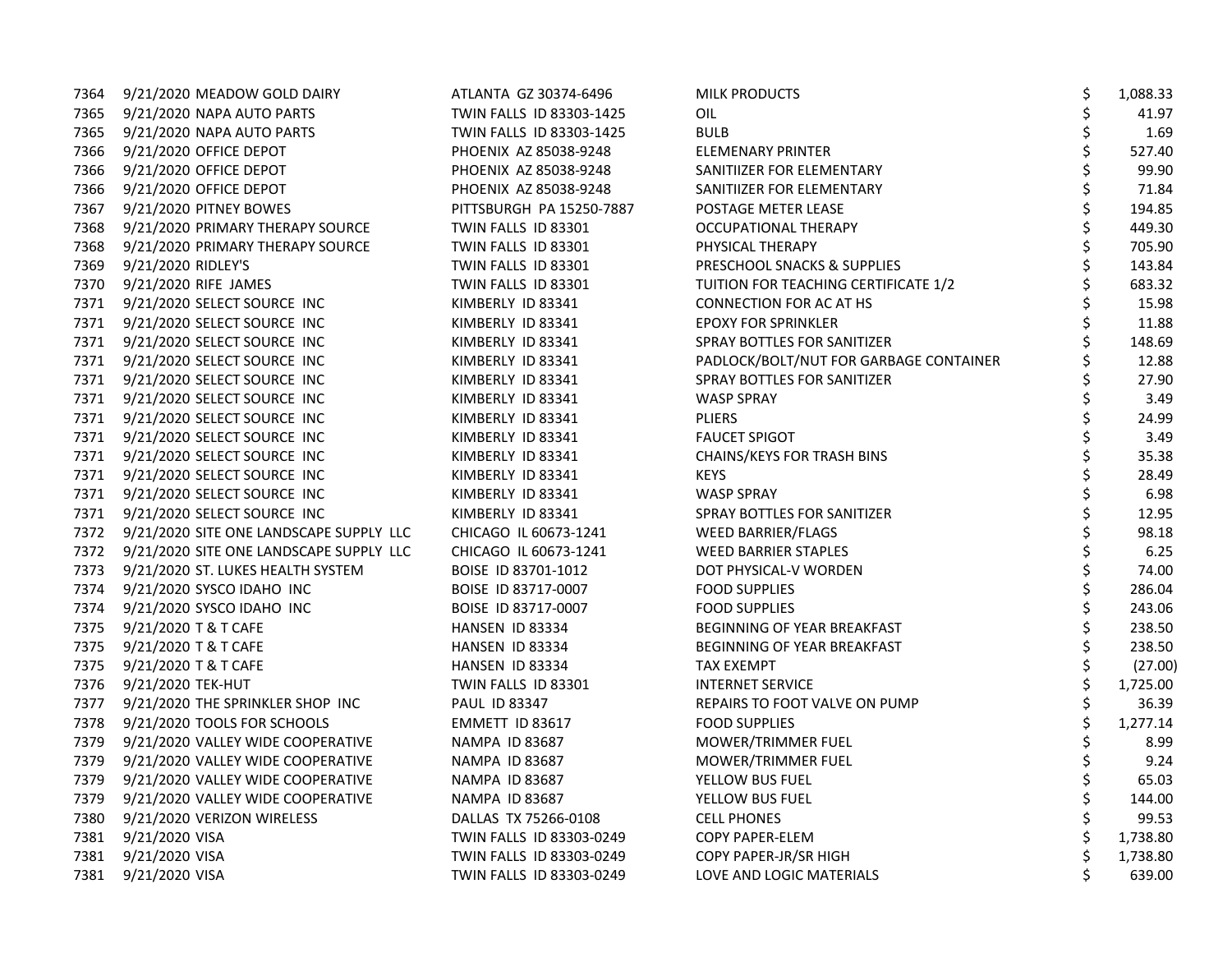| 7364 | 9/21/2020 MEADOW GOLD DAIRY                  | ATLANTA GZ 30374-6496    | <b>MILK PRODUCTS</b>                   | \$ | 1,088.33 |
|------|----------------------------------------------|--------------------------|----------------------------------------|----|----------|
|      | 7365 9/21/2020 NAPA AUTO PARTS               | TWIN FALLS ID 83303-1425 | OIL                                    | \$ | 41.97    |
|      | 7365 9/21/2020 NAPA AUTO PARTS               | TWIN FALLS ID 83303-1425 | <b>BULB</b>                            | \$ | 1.69     |
| 7366 | 9/21/2020 OFFICE DEPOT                       | PHOENIX AZ 85038-9248    | ELEMENARY PRINTER                      | \$ | 527.40   |
|      | 7366 9/21/2020 OFFICE DEPOT                  | PHOENIX AZ 85038-9248    | SANITIIZER FOR ELEMENTARY              | \$ | 99.90    |
| 7366 | 9/21/2020 OFFICE DEPOT                       | PHOENIX AZ 85038-9248    | SANITIIZER FOR ELEMENTARY              | \$ | 71.84    |
| 7367 | 9/21/2020 PITNEY BOWES                       | PITTSBURGH PA 15250-7887 | POSTAGE METER LEASE                    | \$ | 194.85   |
| 7368 | 9/21/2020 PRIMARY THERAPY SOURCE             | TWIN FALLS ID 83301      | OCCUPATIONAL THERAPY                   | \$ | 449.30   |
| 7368 | 9/21/2020 PRIMARY THERAPY SOURCE             | TWIN FALLS ID 83301      | PHYSICAL THERAPY                       | \$ | 705.90   |
|      | 7369 9/21/2020 RIDLEY'S                      | TWIN FALLS ID 83301      | PRESCHOOL SNACKS & SUPPLIES            | \$ | 143.84   |
| 7370 | 9/21/2020 RIFE JAMES                         | TWIN FALLS ID 83301      | TUITION FOR TEACHING CERTIFICATE 1/2   | \$ | 683.32   |
|      | 7371 9/21/2020 SELECT SOURCE INC             | KIMBERLY ID 83341        | CONNECTION FOR AC AT HS                | \$ | 15.98    |
|      | 7371 9/21/2020 SELECT SOURCE INC             | KIMBERLY ID 83341        | <b>EPOXY FOR SPRINKLER</b>             | \$ | 11.88    |
|      | 7371 9/21/2020 SELECT SOURCE INC             | KIMBERLY ID 83341        | SPRAY BOTTLES FOR SANITIZER            | \$ | 148.69   |
|      | 7371 9/21/2020 SELECT SOURCE INC             | KIMBERLY ID 83341        | PADLOCK/BOLT/NUT FOR GARBAGE CONTAINER |    | 12.88    |
|      | 7371 9/21/2020 SELECT SOURCE INC             | KIMBERLY ID 83341        | SPRAY BOTTLES FOR SANITIZER            |    | 27.90    |
|      | 7371 9/21/2020 SELECT SOURCE INC             | KIMBERLY ID 83341        | <b>WASP SPRAY</b>                      | \$ | 3.49     |
|      | 7371 9/21/2020 SELECT SOURCE INC             | KIMBERLY ID 83341        | <b>PLIERS</b>                          | \$ | 24.99    |
|      | 7371 9/21/2020 SELECT SOURCE INC             | KIMBERLY ID 83341        | <b>FAUCET SPIGOT</b>                   | \$ | 3.49     |
|      | 7371 9/21/2020 SELECT SOURCE INC             | KIMBERLY ID 83341        | CHAINS/KEYS FOR TRASH BINS             | \$ | 35.38    |
|      | 7371 9/21/2020 SELECT SOURCE INC             | KIMBERLY ID 83341        | <b>KEYS</b>                            | \$ | 28.49    |
|      | 7371 9/21/2020 SELECT SOURCE INC             | KIMBERLY ID 83341        | <b>WASP SPRAY</b>                      | \$ | 6.98     |
|      | 7371 9/21/2020 SELECT SOURCE INC             | KIMBERLY ID 83341        | SPRAY BOTTLES FOR SANITIZER            | \$ | 12.95    |
|      | 7372 9/21/2020 SITE ONE LANDSCAPE SUPPLY LLC | CHICAGO IL 60673-1241    | WEED BARRIER/FLAGS                     | \$ | 98.18    |
|      | 7372 9/21/2020 SITE ONE LANDSCAPE SUPPLY LLC | CHICAGO IL 60673-1241    | <b>WEED BARRIER STAPLES</b>            | \$ | 6.25     |
|      | 7373 9/21/2020 ST. LUKES HEALTH SYSTEM       | BOISE ID 83701-1012      | DOT PHYSICAL-V WORDEN                  | \$ | 74.00    |
|      | 7374 9/21/2020 SYSCO IDAHO INC               | BOISE ID 83717-0007      | <b>FOOD SUPPLIES</b>                   | \$ | 286.04   |
|      | 7374 9/21/2020 SYSCO IDAHO INC               | BOISE ID 83717-0007      | <b>FOOD SUPPLIES</b>                   | \$ | 243.06   |
|      | 7375 9/21/2020 T & T CAFE                    | HANSEN ID 83334          | BEGINNING OF YEAR BREAKFAST            | \$ | 238.50   |
| 7375 | 9/21/2020 T & T CAFE                         | HANSEN ID 83334          | BEGINNING OF YEAR BREAKFAST            | \$ | 238.50   |
| 7375 | 9/21/2020 T & T CAFE                         | HANSEN ID 83334          | <b>TAX EXEMPT</b>                      | \$ | (27.00)  |
| 7376 | 9/21/2020 TEK-HUT                            | TWIN FALLS ID 83301      | <b>INTERNET SERVICE</b>                | \$ | 1,725.00 |
|      | 7377 9/21/2020 THE SPRINKLER SHOP INC        | <b>PAUL ID 83347</b>     | REPAIRS TO FOOT VALVE ON PUMP          | \$ | 36.39    |
| 7378 | 9/21/2020 TOOLS FOR SCHOOLS                  | EMMETT ID 83617          | <b>FOOD SUPPLIES</b>                   | \$ | 1,277.14 |
| 7379 | 9/21/2020 VALLEY WIDE COOPERATIVE            | NAMPA ID 83687           | MOWER/TRIMMER FUEL                     |    | 8.99     |
| 7379 | 9/21/2020 VALLEY WIDE COOPERATIVE            | NAMPA ID 83687           | MOWER/TRIMMER FUEL                     | \$ | 9.24     |
| 7379 | 9/21/2020 VALLEY WIDE COOPERATIVE            | NAMPA ID 83687           | YELLOW BUS FUEL                        | \$ | 65.03    |
|      | 7379 9/21/2020 VALLEY WIDE COOPERATIVE       | <b>NAMPA ID 83687</b>    | YELLOW BUS FUEL                        | \$ | 144.00   |
|      | 7380 9/21/2020 VERIZON WIRELESS              | DALLAS TX 75266-0108     | <b>CELL PHONES</b>                     | \$ | 99.53    |
| 7381 | 9/21/2020 VISA                               | TWIN FALLS ID 83303-0249 | <b>COPY PAPER-ELEM</b>                 |    | 1,738.80 |
|      | 7381 9/21/2020 VISA                          | TWIN FALLS ID 83303-0249 | COPY PAPER-JR/SR HIGH                  | \$ | 1,738.80 |
| 7381 | 9/21/2020 VISA                               | TWIN FALLS ID 83303-0249 | LOVE AND LOGIC MATERIALS               | Ś. | 639.00   |